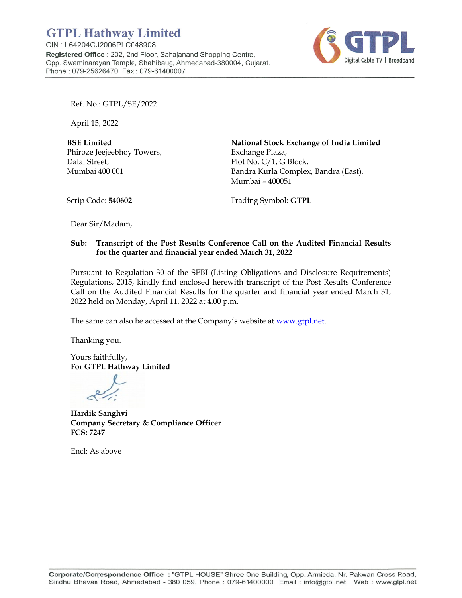

Ref. No.: GTPL/SE/2022

April 15 5, 2022

**BSE Lim mited**  Phiroze J Jeejeebhoy Towers, Dalal Street*,* Mumbai i 400 001

**National Stock Exchange of India Limited** Excha ange Plaza, Plot N No. C/1, G Block, Bandra Kurla Complex, Bandra (East), Mumbai – 400051

Scrip Co de: **540602**

Tradi ing Symbol : **GTPL**

Dear Sir/Madam,

#### **Sub: Transcript of the Post Results Conference Call on the Audited Financial Results** for the quarter and financial year ended March 31, 2022

Pursuant to Regulation 30 of the SEBI (Listing Obligations and Disclosure Requirements) Regulations, 2015, kindly find enclosed herewith transcript of the Post Results Conference Call on the Audited Financial Results for the quarter and financial year ended March 31, 2022 held on Monday, April 11, 2022 at 4.00 p.m.

The same can also be accessed at the Company's website at www.gtpl.net.

Thankin ng you.

Yours f aithfully, **For GT TPL Hathwa ay Limited** 

**Hardik k Sanghvi Company Secretary & Compliance Officer FCS: 72 247** 

Encl: A s above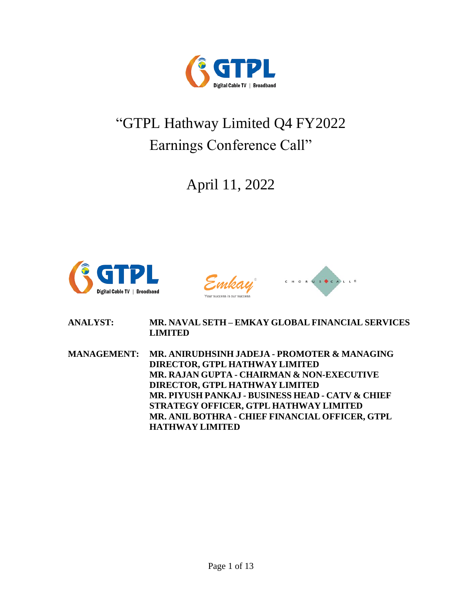

# "GTPL Hathway Limited Q4 FY2022 Earnings Conference Call"

April 11, 2022





**ANALYST: MR. NAVAL SETH – EMKAY GLOBAL FINANCIAL SERVICES LIMITED**

**MANAGEMENT: MR. ANIRUDHSINH JADEJA - PROMOTER & MANAGING DIRECTOR, GTPL HATHWAY LIMITED MR. RAJAN GUPTA - CHAIRMAN & NON-EXECUTIVE DIRECTOR, GTPL HATHWAY LIMITED MR. PIYUSH PANKAJ - BUSINESS HEAD - CATV & CHIEF STRATEGY OFFICER, GTPL HATHWAY LIMITED MR. ANIL BOTHRA - CHIEF FINANCIAL OFFICER, GTPL HATHWAY LIMITED**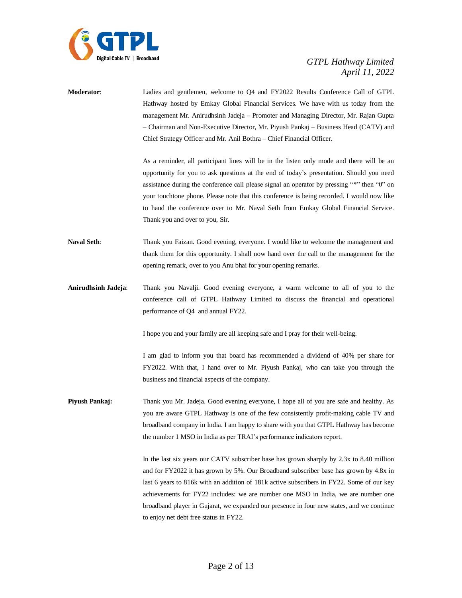

**Moderator**: Ladies and gentlemen, welcome to Q4 and FY2022 Results Conference Call of GTPL Hathway hosted by Emkay Global Financial Services. We have with us today from the management Mr. Anirudhsinh Jadeja – Promoter and Managing Director, Mr. Rajan Gupta – Chairman and Non-Executive Director, Mr. Piyush Pankaj – Business Head (CATV) and Chief Strategy Officer and Mr. Anil Bothra – Chief Financial Officer.

> As a reminder, all participant lines will be in the listen only mode and there will be an opportunity for you to ask questions at the end of today's presentation. Should you need assistance during the conference call please signal an operator by pressing "\*" then "0" on your touchtone phone. Please note that this conference is being recorded. I would now like to hand the conference over to Mr. Naval Seth from Emkay Global Financial Service. Thank you and over to you, Sir.

- **Naval Seth**: Thank you Faizan. Good evening, everyone. I would like to welcome the management and thank them for this opportunity. I shall now hand over the call to the management for the opening remark, over to you Anu bhai for your opening remarks.
- **Anirudhsinh Jadeja**: Thank you Navalji. Good evening everyone, a warm welcome to all of you to the conference call of GTPL Hathway Limited to discuss the financial and operational performance of Q4 and annual FY22.

I hope you and your family are all keeping safe and I pray for their well-being.

I am glad to inform you that board has recommended a dividend of 40% per share for FY2022. With that, I hand over to Mr. Piyush Pankaj, who can take you through the business and financial aspects of the company.

**Piyush Pankaj:** Thank you Mr. Jadeja. Good evening everyone, I hope all of you are safe and healthy. As you are aware GTPL Hathway is one of the few consistently profit-making cable TV and broadband company in India. I am happy to share with you that GTPL Hathway has become the number 1 MSO in India as per TRAI's performance indicators report.

> In the last six years our CATV subscriber base has grown sharply by 2.3x to 8.40 million and for FY2022 it has grown by 5%. Our Broadband subscriber base has grown by 4.8x in last 6 years to 816k with an addition of 181k active subscribers in FY22. Some of our key achievements for FY22 includes: we are number one MSO in India, we are number one broadband player in Gujarat, we expanded our presence in four new states, and we continue to enjoy net debt free status in FY22.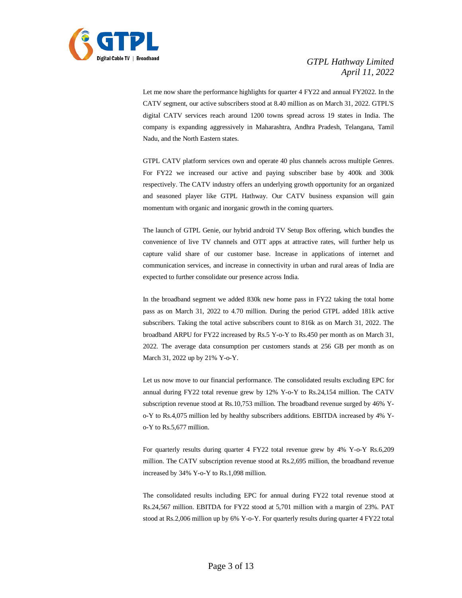

Let me now share the performance highlights for quarter 4 FY22 and annual FY2022. In the CATV segment, our active subscribers stood at 8.40 million as on March 31, 2022. GTPL'S digital CATV services reach around 1200 towns spread across 19 states in India. The company is expanding aggressively in Maharashtra, Andhra Pradesh, Telangana, Tamil Nadu, and the North Eastern states.

GTPL CATV platform services own and operate 40 plus channels across multiple Genres. For FY22 we increased our active and paying subscriber base by 400k and 300k respectively. The CATV industry offers an underlying growth opportunity for an organized and seasoned player like GTPL Hathway. Our CATV business expansion will gain momentum with organic and inorganic growth in the coming quarters.

The launch of GTPL Genie, our hybrid android TV Setup Box offering, which bundles the convenience of live TV channels and OTT apps at attractive rates, will further help us capture valid share of our customer base. Increase in applications of internet and communication services, and increase in connectivity in urban and rural areas of India are expected to further consolidate our presence across India.

In the broadband segment we added 830k new home pass in FY22 taking the total home pass as on March 31, 2022 to 4.70 million. During the period GTPL added 181k active subscribers. Taking the total active subscribers count to 816k as on March 31, 2022. The broadband ARPU for FY22 increased by Rs.5 Y-o-Y to Rs.450 per month as on March 31, 2022. The average data consumption per customers stands at 256 GB per month as on March 31, 2022 up by 21% Y-o-Y.

Let us now move to our financial performance. The consolidated results excluding EPC for annual during FY22 total revenue grew by 12% Y-o-Y to Rs.24,154 million. The CATV subscription revenue stood at Rs.10,753 million. The broadband revenue surged by 46% Yo-Y to Rs.4,075 million led by healthy subscribers additions. EBITDA increased by 4% Yo-Y to Rs.5,677 million.

For quarterly results during quarter 4 FY22 total revenue grew by 4% Y-o-Y Rs.6,209 million. The CATV subscription revenue stood at Rs.2,695 million, the broadband revenue increased by 34% Y-o-Y to Rs.1,098 million.

The consolidated results including EPC for annual during FY22 total revenue stood at Rs.24,567 million. EBITDA for FY22 stood at 5,701 million with a margin of 23%. PAT stood at Rs.2,006 million up by 6% Y-o-Y. For quarterly results during quarter 4 FY22 total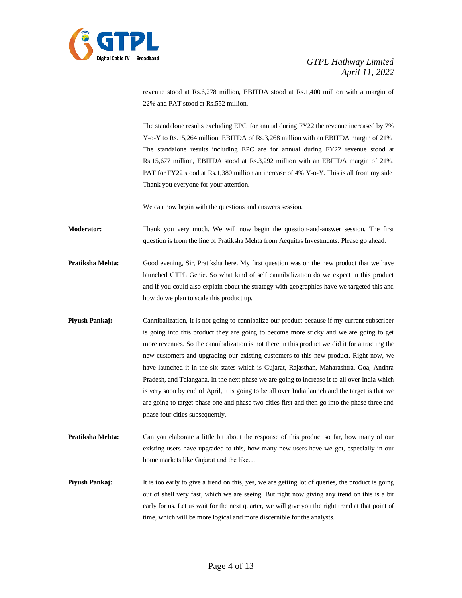

revenue stood at Rs.6,278 million, EBITDA stood at Rs.1,400 million with a margin of 22% and PAT stood at Rs.552 million.

The standalone results excluding EPC for annual during FY22 the revenue increased by 7% Y-o-Y to Rs.15,264 million. EBITDA of Rs.3,268 million with an EBITDA margin of 21%. The standalone results including EPC are for annual during FY22 revenue stood at Rs.15,677 million, EBITDA stood at Rs.3,292 million with an EBITDA margin of 21%. PAT for FY22 stood at Rs.1,380 million an increase of 4% Y-o-Y. This is all from my side. Thank you everyone for your attention.

We can now begin with the questions and answers session.

**Moderator:** Thank you very much. We will now begin the question-and-answer session. The first question is from the line of Pratiksha Mehta from Aequitas Investments. Please go ahead.

**Pratiksha Mehta:** Good evening, Sir, Pratiksha here. My first question was on the new product that we have launched GTPL Genie. So what kind of self cannibalization do we expect in this product and if you could also explain about the strategy with geographies have we targeted this and how do we plan to scale this product up.

- **Piyush Pankaj:** Cannibalization, it is not going to cannibalize our product because if my current subscriber is going into this product they are going to become more sticky and we are going to get more revenues. So the cannibalization is not there in this product we did it for attracting the new customers and upgrading our existing customers to this new product. Right now, we have launched it in the six states which is Gujarat, Rajasthan, Maharashtra, Goa, Andhra Pradesh, and Telangana. In the next phase we are going to increase it to all over India which is very soon by end of April, it is going to be all over India launch and the target is that we are going to target phase one and phase two cities first and then go into the phase three and phase four cities subsequently.
- **Pratiksha Mehta:** Can you elaborate a little bit about the response of this product so far, how many of our existing users have upgraded to this, how many new users have we got, especially in our home markets like Gujarat and the like…

**Piyush Pankaj:** It is too early to give a trend on this, yes, we are getting lot of queries, the product is going out of shell very fast, which we are seeing. But right now giving any trend on this is a bit early for us. Let us wait for the next quarter, we will give you the right trend at that point of time, which will be more logical and more discernible for the analysts.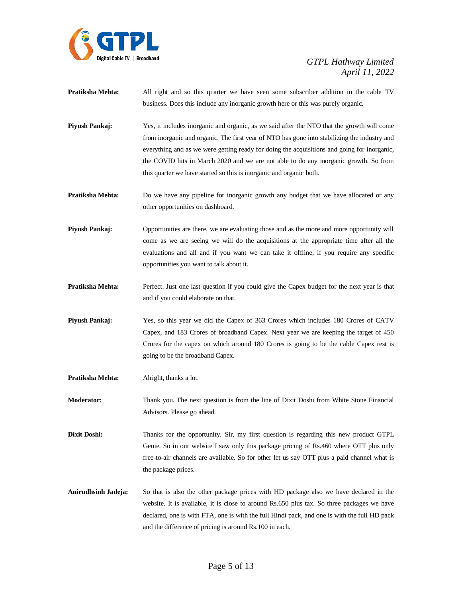

- **Pratiksha Mehta:** All right and so this quarter we have seen some subscriber addition in the cable TV business. Does this include any inorganic growth here or this was purely organic.
- **Piyush Pankaj:** Yes, it includes inorganic and organic, as we said after the NTO that the growth will come from inorganic and organic. The first year of NTO has gone into stabilizing the industry and everything and as we were getting ready for doing the acquisitions and going for inorganic, the COVID hits in March 2020 and we are not able to do any inorganic growth. So from this quarter we have started so this is inorganic and organic both.
- **Pratiksha Mehta:** Do we have any pipeline for inorganic growth any budget that we have allocated or any other opportunities on dashboard.
- **Piyush Pankaj:** Opportunities are there, we are evaluating those and as the more and more opportunity will come as we are seeing we will do the acquisitions at the appropriate time after all the evaluations and all and if you want we can take it offline, if you require any specific opportunities you want to talk about it.
- **Pratiksha Mehta:** Perfect. Just one last question if you could give the Capex budget for the next year is that and if you could elaborate on that.
- **Piyush Pankaj:** Yes, so this year we did the Capex of 363 Crores which includes 180 Crores of CATV Capex, and 183 Crores of broadband Capex. Next year we are keeping the target of 450 Crores for the capex on which around 180 Crores is going to be the cable Capex rest is going to be the broadband Capex.
- **Pratiksha Mehta:** Alright, thanks a lot.

**Moderator:** Thank you. The next question is from the line of Dixit Doshi from White Stone Financial Advisors. Please go ahead.

**Dixit Doshi:** Thanks for the opportunity. Sir, my first question is regarding this new product GTPL Genie. So in our website I saw only this package pricing of Rs.460 where OTT plus only free-to-air channels are available. So for other let us say OTT plus a paid channel what is the package prices.

**Anirudhsinh Jadeja:** So that is also the other package prices with HD package also we have declared in the website. It is available, it is close to around Rs.650 plus tax. So three packages we have declared, one is with FTA, one is with the full Hindi pack, and one is with the full HD pack and the difference of pricing is around Rs.100 in each.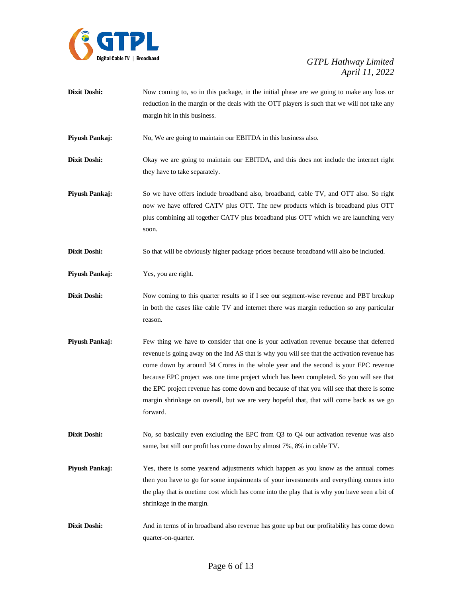

**Dixit Doshi:** Now coming to, so in this package, in the initial phase are we going to make any loss or reduction in the margin or the deals with the OTT players is such that we will not take any margin hit in this business.

**Piyush Pankaj:** No, We are going to maintain our EBITDA in this business also.

- **Dixit Doshi:** Okay we are going to maintain our EBITDA, and this does not include the internet right they have to take separately.
- **Piyush Pankaj:** So we have offers include broadband also, broadband, cable TV, and OTT also. So right now we have offered CATV plus OTT. The new products which is broadband plus OTT plus combining all together CATV plus broadband plus OTT which we are launching very soon.
- **Dixit Doshi:** So that will be obviously higher package prices because broadband will also be included.
- **Piyush Pankaj:** Yes, you are right.
- **Dixit Doshi:** Now coming to this quarter results so if I see our segment-wise revenue and PBT breakup in both the cases like cable TV and internet there was margin reduction so any particular reason.
- **Piyush Pankaj:** Few thing we have to consider that one is your activation revenue because that deferred revenue is going away on the Ind AS that is why you will see that the activation revenue has come down by around 34 Crores in the whole year and the second is your EPC revenue because EPC project was one time project which has been completed. So you will see that the EPC project revenue has come down and because of that you will see that there is some margin shrinkage on overall, but we are very hopeful that, that will come back as we go forward.
- **Dixit Doshi:** No, so basically even excluding the EPC from Q3 to Q4 our activation revenue was also same, but still our profit has come down by almost 7%, 8% in cable TV.
- **Piyush Pankaj:** Yes, there is some yearend adjustments which happen as you know as the annual comes then you have to go for some impairments of your investments and everything comes into the play that is onetime cost which has come into the play that is why you have seen a bit of shrinkage in the margin.
- **Dixit Doshi:** And in terms of in broadband also revenue has gone up but our profitability has come down quarter-on-quarter.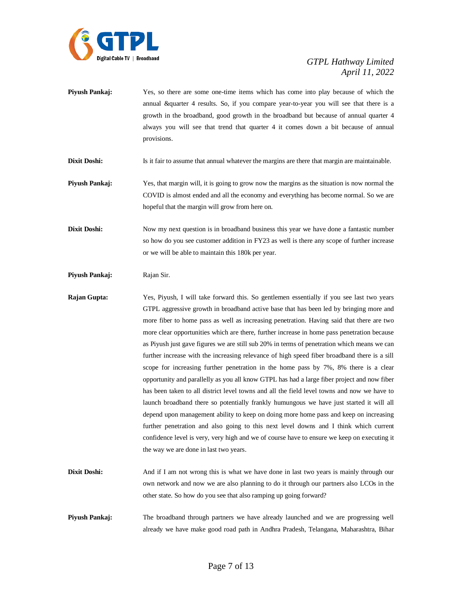

**Piyush Pankaj:** Yes, so there are some one-time items which has come into play because of which the annual &quarter 4 results. So, if you compare year-to-year you will see that there is a growth in the broadband, good growth in the broadband but because of annual quarter 4 always you will see that trend that quarter 4 it comes down a bit because of annual provisions.

**Dixit Doshi:** Is it fair to assume that annual whatever the margins are there that margin are maintainable.

**Piyush Pankaj:** Yes, that margin will, it is going to grow now the margins as the situation is now normal the COVID is almost ended and all the economy and everything has become normal. So we are hopeful that the margin will grow from here on.

**Dixit Doshi:** Now my next question is in broadband business this year we have done a fantastic number so how do you see customer addition in FY23 as well is there any scope of further increase or we will be able to maintain this 180k per year.

Piyush Pankaj: Rajan Sir.

**Rajan Gupta:** Yes, Piyush, I will take forward this. So gentlemen essentially if you see last two years GTPL aggressive growth in broadband active base that has been led by bringing more and more fiber to home pass as well as increasing penetration. Having said that there are two more clear opportunities which are there, further increase in home pass penetration because as Piyush just gave figures we are still sub 20% in terms of penetration which means we can further increase with the increasing relevance of high speed fiber broadband there is a sill scope for increasing further penetration in the home pass by 7%, 8% there is a clear opportunity and parallelly as you all know GTPL has had a large fiber project and now fiber has been taken to all district level towns and all the field level towns and now we have to launch broadband there so potentially frankly humungous we have just started it will all depend upon management ability to keep on doing more home pass and keep on increasing further penetration and also going to this next level downs and I think which current confidence level is very, very high and we of course have to ensure we keep on executing it the way we are done in last two years.

- **Dixit Doshi:** And if I am not wrong this is what we have done in last two years is mainly through our own network and now we are also planning to do it through our partners also LCOs in the other state. So how do you see that also ramping up going forward?
- **Piyush Pankaj:** The broadband through partners we have already launched and we are progressing well already we have make good road path in Andhra Pradesh, Telangana, Maharashtra, Bihar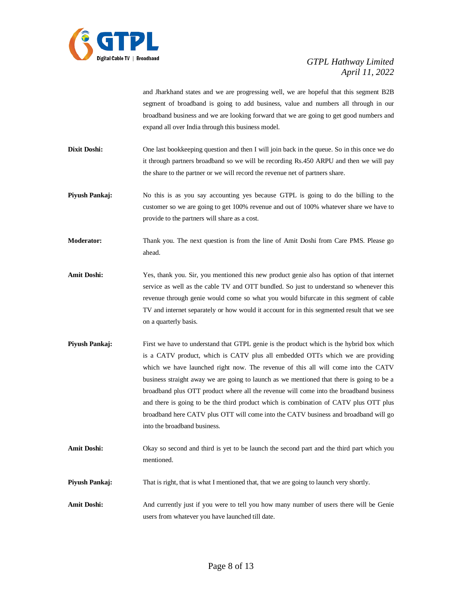

and Jharkhand states and we are progressing well, we are hopeful that this segment B2B segment of broadband is going to add business, value and numbers all through in our broadband business and we are looking forward that we are going to get good numbers and expand all over India through this business model.

- **Dixit Doshi:** One last bookkeeping question and then I will join back in the queue. So in this once we do it through partners broadband so we will be recording Rs.450 ARPU and then we will pay the share to the partner or we will record the revenue net of partners share.
- **Piyush Pankaj:** No this is as you say accounting yes because GTPL is going to do the billing to the customer so we are going to get 100% revenue and out of 100% whatever share we have to provide to the partners will share as a cost.
- **Moderator:** Thank you. The next question is from the line of Amit Doshi from Care PMS. Please go ahead.
- **Amit Doshi:** Yes, thank you. Sir, you mentioned this new product genie also has option of that internet service as well as the cable TV and OTT bundled. So just to understand so whenever this revenue through genie would come so what you would bifurcate in this segment of cable TV and internet separately or how would it account for in this segmented result that we see on a quarterly basis.
- **Piyush Pankaj:** First we have to understand that GTPL genie is the product which is the hybrid box which is a CATV product, which is CATV plus all embedded OTTs which we are providing which we have launched right now. The revenue of this all will come into the CATV business straight away we are going to launch as we mentioned that there is going to be a broadband plus OTT product where all the revenue will come into the broadband business and there is going to be the third product which is combination of CATV plus OTT plus broadband here CATV plus OTT will come into the CATV business and broadband will go into the broadband business.
- **Amit Doshi:** Okay so second and third is yet to be launch the second part and the third part which you mentioned.
- **Piyush Pankaj:** That is right, that is what I mentioned that, that we are going to launch very shortly.
- **Amit Doshi:** And currently just if you were to tell you how many number of users there will be Genie users from whatever you have launched till date.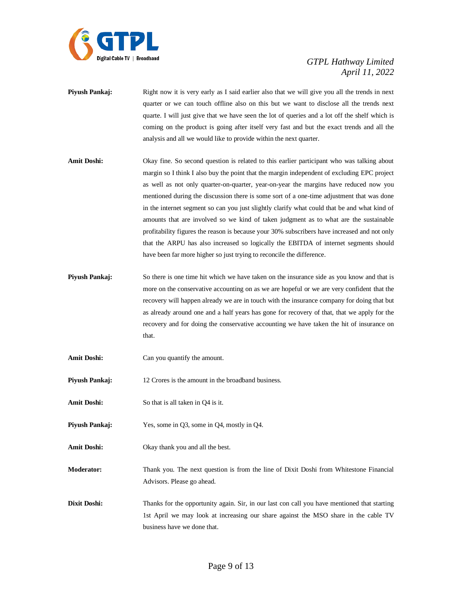

- **Piyush Pankaj:** Right now it is very early as I said earlier also that we will give you all the trends in next quarter or we can touch offline also on this but we want to disclose all the trends next quarte. I will just give that we have seen the lot of queries and a lot off the shelf which is coming on the product is going after itself very fast and but the exact trends and all the analysis and all we would like to provide within the next quarter.
- **Amit Doshi:** Okay fine. So second question is related to this earlier participant who was talking about margin so I think I also buy the point that the margin independent of excluding EPC project as well as not only quarter-on-quarter, year-on-year the margins have reduced now you mentioned during the discussion there is some sort of a one-time adjustment that was done in the internet segment so can you just slightly clarify what could that be and what kind of amounts that are involved so we kind of taken judgment as to what are the sustainable profitability figures the reason is because your 30% subscribers have increased and not only that the ARPU has also increased so logically the EBITDA of internet segments should have been far more higher so just trying to reconcile the difference.
- **Piyush Pankaj:** So there is one time hit which we have taken on the insurance side as you know and that is more on the conservative accounting on as we are hopeful or we are very confident that the recovery will happen already we are in touch with the insurance company for doing that but as already around one and a half years has gone for recovery of that, that we apply for the recovery and for doing the conservative accounting we have taken the hit of insurance on that.
- **Amit Doshi:** Can you quantify the amount.
- **Piyush Pankaj:** 12 Crores is the amount in the broadband business.
- Amit Doshi: So that is all taken in Q4 is it.
- **Piyush Pankaj:** Yes, some in Q3, some in Q4, mostly in Q4.
- **Amit Doshi:** Okay thank you and all the best.
- **Moderator:** Thank you. The next question is from the line of Dixit Doshi from Whitestone Financial Advisors. Please go ahead.
- **Dixit Doshi:** Thanks for the opportunity again. Sir, in our last con call you have mentioned that starting 1st April we may look at increasing our share against the MSO share in the cable TV business have we done that.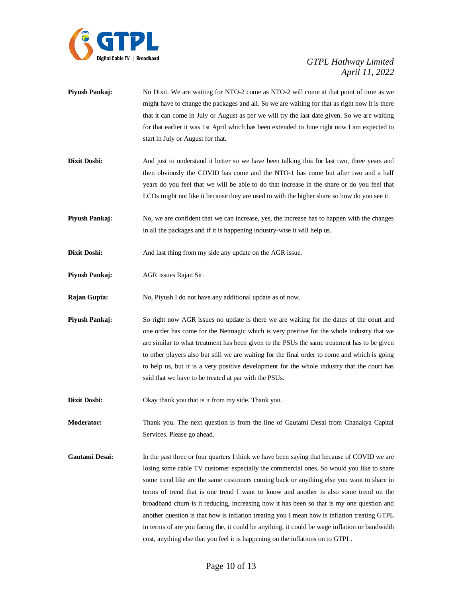

- **Piyush Pankaj:** No Dixit. We are waiting for NTO-2 come as NTO-2 will come at that point of time as we might have to change the packages and all. So we are waiting for that as right now it is there that it can come in July or August as per we will try the last date given. So we are waiting for that earlier it was 1st April which has been extended to June right now I am expected to start in July or August for that.
- **Dixit Doshi:** And just to understand it better so we have been talking this for last two, three years and then obviously the COVID has come and the NTO-1 has come but after two and a half years do you feel that we will be able to do that increase in the share or do you feel that LCOs might not like it because they are used to with the higher share so how do you see it.
- **Piyush Pankaj:** No, we are confident that we can increase, yes, the increase has to happen with the changes in all the packages and if it is happening industry-wise it will help us.
- **Dixit Doshi:** And last thing from my side any update on the AGR issue.
- **Piyush Pankaj:** AGR issues Rajan Sir.
- **Rajan Gupta:** No, Piyush I do not have any additional update as of now.
- **Piyush Pankaj:** So right now AGR issues no update is there we are waiting for the dates of the court and one order has come for the Netmagic which is very positive for the whole industry that we are similar to what treatment has been given to the PSUs the same treatment has to be given to other players also but still we are waiting for the final order to come and which is going to help us, but it is a very positive development for the whole industry that the court has said that we have to be treated at par with the PSUs.
- **Dixit Doshi:** Okay thank you that is it from my side. Thank you.

**Moderator:** Thank you. The next question is from the line of Gautami Desai from Chanakya Capital Services. Please go ahead.

Gautami Desai: In the past three or four quarters I think we have been saying that because of COVID we are losing some cable TV customer especially the commercial ones. So would you like to share some trend like are the same customers coming back or anything else you want to share in terms of trend that is one trend I want to know and another is also some trend on the broadband churn is it reducing, increasing how it has been so that is my one question and another question is that how is inflation treating you I mean how is inflation treating GTPL in terms of are you facing the, it could be anything, it could be wage inflation or bandwidth cost, anything else that you feel it is happening on the inflations on to GTPL.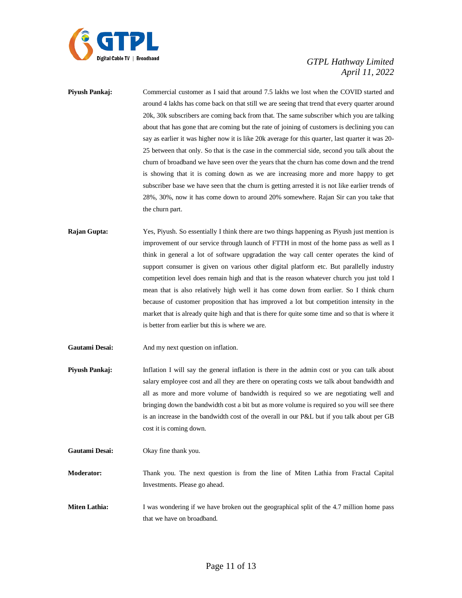

**Piyush Pankaj:** Commercial customer as I said that around 7.5 lakhs we lost when the COVID started and around 4 lakhs has come back on that still we are seeing that trend that every quarter around 20k, 30k subscribers are coming back from that. The same subscriber which you are talking about that has gone that are coming but the rate of joining of customers is declining you can say as earlier it was higher now it is like 20k average for this quarter, last quarter it was 20- 25 between that only. So that is the case in the commercial side, second you talk about the churn of broadband we have seen over the years that the churn has come down and the trend is showing that it is coming down as we are increasing more and more happy to get subscriber base we have seen that the churn is getting arrested it is not like earlier trends of 28%, 30%, now it has come down to around 20% somewhere. Rajan Sir can you take that the churn part.

- **Rajan Gupta:** Yes, Piyush. So essentially I think there are two things happening as Piyush just mention is improvement of our service through launch of FTTH in most of the home pass as well as I think in general a lot of software upgradation the way call center operates the kind of support consumer is given on various other digital platform etc. But parallelly industry competition level does remain high and that is the reason whatever church you just told I mean that is also relatively high well it has come down from earlier. So I think churn because of customer proposition that has improved a lot but competition intensity in the market that is already quite high and that is there for quite some time and so that is where it is better from earlier but this is where we are.
- **Gautami Desai:** And my next question on inflation.
- **Piyush Pankaj:** Inflation I will say the general inflation is there in the admin cost or you can talk about salary employee cost and all they are there on operating costs we talk about bandwidth and all as more and more volume of bandwidth is required so we are negotiating well and bringing down the bandwidth cost a bit but as more volume is required so you will see there is an increase in the bandwidth cost of the overall in our P&L but if you talk about per GB cost it is coming down.
- **Gautami Desai:** Okay fine thank you.

**Moderator:** Thank you. The next question is from the line of Miten Lathia from Fractal Capital Investments. Please go ahead.

**Miten Lathia:** I was wondering if we have broken out the geographical split of the 4.7 million home pass that we have on broadband.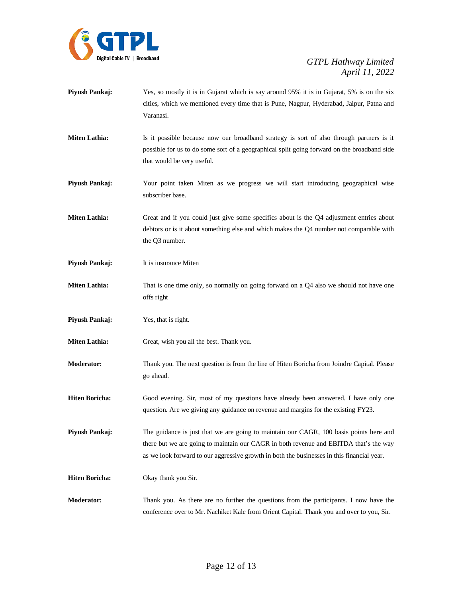

- **Piyush Pankaj:** Yes, so mostly it is in Gujarat which is say around 95% it is in Gujarat, 5% is on the six cities, which we mentioned every time that is Pune, Nagpur, Hyderabad, Jaipur, Patna and Varanasi.
- **Miten Lathia:** Is it possible because now our broadband strategy is sort of also through partners is it possible for us to do some sort of a geographical split going forward on the broadband side that would be very useful.
- **Piyush Pankaj:** Your point taken Miten as we progress we will start introducing geographical wise subscriber base.
- **Miten Lathia:** Great and if you could just give some specifics about is the Q4 adjustment entries about debtors or is it about something else and which makes the Q4 number not comparable with the Q3 number.
- **Piyush Pankaj:** It is insurance Miten
- **Miten Lathia:** That is one time only, so normally on going forward on a Q4 also we should not have one offs right
- **Piyush Pankaj:** Yes, that is right.
- **Miten Lathia:** Great, wish you all the best. Thank you.
- **Moderator:** Thank you. The next question is from the line of Hiten Boricha from Joindre Capital. Please go ahead.
- **Hiten Boricha:** Good evening. Sir, most of my questions have already been answered. I have only one question. Are we giving any guidance on revenue and margins for the existing FY23.
- **Piyush Pankaj:** The guidance is just that we are going to maintain our CAGR, 100 basis points here and there but we are going to maintain our CAGR in both revenue and EBITDA that's the way as we look forward to our aggressive growth in both the businesses in this financial year.
- **Hiten Boricha:** Okay thank you Sir.
- **Moderator:** Thank you. As there are no further the questions from the participants. I now have the conference over to Mr. Nachiket Kale from Orient Capital. Thank you and over to you, Sir.